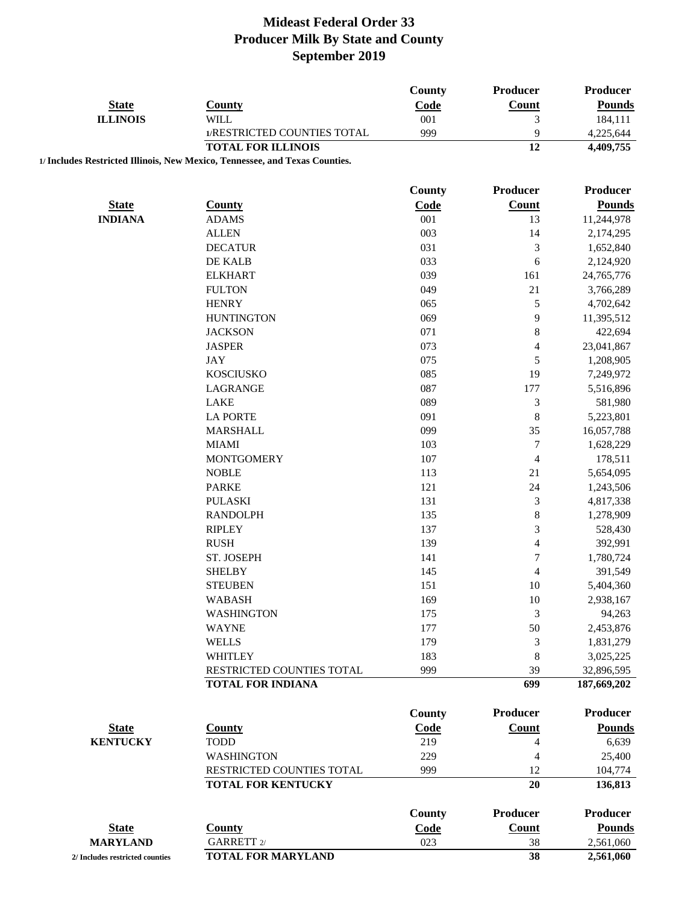|                                 |                                                                             | County      | <b>Producer</b>          | Producer           |
|---------------------------------|-----------------------------------------------------------------------------|-------------|--------------------------|--------------------|
| <b>State</b>                    | <b>County</b>                                                               | Code        | <b>Count</b>             | <b>Pounds</b>      |
| <b>ILLINOIS</b>                 | <b>WILL</b>                                                                 | 001         | 3                        | 184,111            |
|                                 | 1/RESTRICTED COUNTIES TOTAL                                                 | 999         | 9                        | 4,225,644          |
|                                 | <b>TOTAL FOR ILLINOIS</b>                                                   |             | $\overline{12}$          | 4,409,755          |
|                                 | 1/ Includes Restricted Illinois, New Mexico, Tennessee, and Texas Counties. |             |                          |                    |
|                                 |                                                                             | County      | Producer                 | Producer           |
| <b>State</b>                    | <b>County</b>                                                               | Code        | <b>Count</b>             | <b>Pounds</b>      |
| <b>INDIANA</b>                  | <b>ADAMS</b>                                                                | 001         | 13                       | 11,244,978         |
|                                 | <b>ALLEN</b>                                                                | 003         | 14                       | 2,174,295          |
|                                 | <b>DECATUR</b>                                                              | 031         | 3                        | 1,652,840          |
|                                 | DE KALB                                                                     | 033         | 6                        | 2,124,920          |
|                                 | <b>ELKHART</b>                                                              | 039         | 161                      | 24,765,776         |
|                                 | <b>FULTON</b>                                                               | 049         | 21                       | 3,766,289          |
|                                 | <b>HENRY</b>                                                                | 065         | $\sqrt{5}$               | 4,702,642          |
|                                 | <b>HUNTINGTON</b>                                                           | 069         | 9                        | 11,395,512         |
|                                 | <b>JACKSON</b>                                                              | 071         | $\,8$                    | 422,694            |
|                                 | <b>JASPER</b>                                                               | 073         | $\overline{\mathbf{4}}$  | 23,041,867         |
|                                 | <b>JAY</b>                                                                  | 075         | 5                        | 1,208,905          |
|                                 | <b>KOSCIUSKO</b>                                                            | 085         | 19                       | 7,249,972          |
|                                 | LAGRANGE                                                                    | 087         | 177                      | 5,516,896          |
|                                 | LAKE                                                                        | 089         | $\mathfrak{Z}$           | 581,980            |
|                                 | <b>LA PORTE</b>                                                             | 091         | $\,8\,$                  | 5,223,801          |
|                                 | <b>MARSHALL</b>                                                             | 099         | 35                       | 16,057,788         |
|                                 | <b>MIAMI</b>                                                                | 103         | $\tau$                   | 1,628,229          |
|                                 | <b>MONTGOMERY</b>                                                           | 107         | $\overline{4}$           | 178,511            |
|                                 | <b>NOBLE</b>                                                                | 113         | 21                       | 5,654,095          |
|                                 | <b>PARKE</b>                                                                | 121         | 24                       | 1,243,506          |
|                                 | <b>PULASKI</b>                                                              | 131         | 3                        | 4,817,338          |
|                                 | <b>RANDOLPH</b>                                                             | 135         | $\,8$                    | 1,278,909          |
|                                 | <b>RIPLEY</b>                                                               | 137         | 3                        | 528,430            |
|                                 | <b>RUSH</b>                                                                 | 139         | 4                        | 392,991            |
|                                 | ST. JOSEPH                                                                  | 141         | 7                        | 1,780,724          |
|                                 | <b>SHELBY</b>                                                               | 145         | $\overline{\mathcal{L}}$ | 391,549            |
|                                 | <b>STEUBEN</b>                                                              | 151         | 10                       | 5,404,360          |
|                                 | <b>WABASH</b>                                                               | 169         | 10                       | 2,938,167          |
|                                 | <b>WASHINGTON</b>                                                           | 175         | 3                        | 94,263             |
|                                 | <b>WAYNE</b>                                                                | 177         | 50                       | 2,453,876          |
|                                 | <b>WELLS</b>                                                                | 179         | 3                        | 1,831,279          |
|                                 | <b>WHITLEY</b>                                                              | 183         | 8                        | 3,025,225          |
|                                 | RESTRICTED COUNTIES TOTAL                                                   | 999         | 39                       | 32,896,595         |
|                                 | <b>TOTAL FOR INDIANA</b>                                                    |             | 699                      | 187,669,202        |
|                                 |                                                                             | County      | <b>Producer</b>          | <b>Producer</b>    |
|                                 |                                                                             |             |                          |                    |
| <b>State</b>                    | <b>County</b>                                                               | Code<br>219 | <b>Count</b>             | <b>Pounds</b>      |
| <b>KENTUCKY</b>                 | <b>TODD</b>                                                                 |             | 4                        | 6,639              |
|                                 | <b>WASHINGTON</b>                                                           | 229         | 4                        | 25,400             |
|                                 | RESTRICTED COUNTIES TOTAL<br><b>TOTAL FOR KENTUCKY</b>                      | 999         | 12<br>20                 | 104,774<br>136,813 |
|                                 |                                                                             |             |                          |                    |
|                                 |                                                                             | County      | <b>Producer</b>          | Producer           |
| <b>State</b>                    | <b>County</b>                                                               | Code        | <b>Count</b>             | <b>Pounds</b>      |
| <b>MARYLAND</b>                 | GARRETT 2/                                                                  | 023         | 38                       | 2,561,060          |
| 2/ Includes restricted counties | <b>TOTAL FOR MARYLAND</b>                                                   |             | 38                       | 2,561,060          |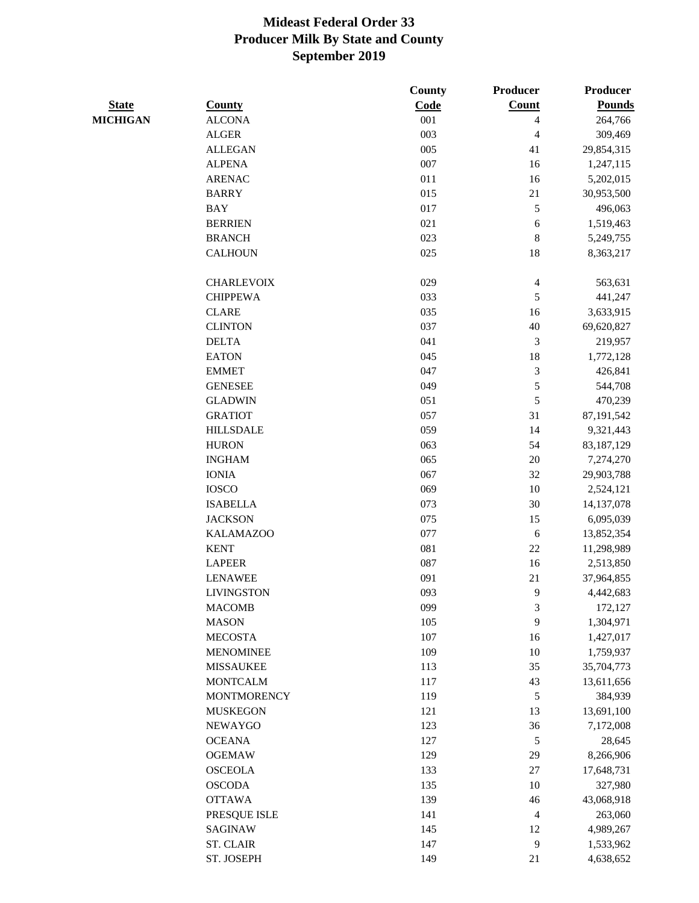|                 |                    | County     | <b>Producer</b>          | Producer      |
|-----------------|--------------------|------------|--------------------------|---------------|
| <b>State</b>    | <b>County</b>      | Code       | Count                    | <b>Pounds</b> |
| <b>MICHIGAN</b> | <b>ALCONA</b>      | 001        | 4                        | 264,766       |
|                 | <b>ALGER</b>       | 003        | 4                        | 309,469       |
|                 | <b>ALLEGAN</b>     | 005        | 41                       | 29,854,315    |
|                 | <b>ALPENA</b>      | 007        | 16                       | 1,247,115     |
|                 | <b>ARENAC</b>      | 011        | 16                       | 5,202,015     |
|                 | <b>BARRY</b>       | 015        | 21                       | 30,953,500    |
|                 | <b>BAY</b>         | 017        | $\sqrt{5}$               | 496,063       |
|                 | <b>BERRIEN</b>     | 021        | 6                        | 1,519,463     |
|                 | <b>BRANCH</b>      | 023        | $\,8\,$                  | 5,249,755     |
|                 | <b>CALHOUN</b>     | 025        | 18                       | 8,363,217     |
|                 |                    |            |                          |               |
|                 | <b>CHARLEVOIX</b>  | 029        | $\overline{\mathcal{L}}$ | 563,631       |
|                 | <b>CHIPPEWA</b>    | 033        | 5                        | 441,247       |
|                 | <b>CLARE</b>       | 035        | 16                       | 3,633,915     |
|                 | <b>CLINTON</b>     | 037        | 40                       | 69,620,827    |
|                 | <b>DELTA</b>       | 041        | 3                        | 219,957       |
|                 | <b>EATON</b>       | 045        | 18                       | 1,772,128     |
|                 | <b>EMMET</b>       | 047        | $\mathfrak{Z}$           | 426,841       |
|                 | <b>GENESEE</b>     | 049        | 5                        | 544,708       |
|                 | <b>GLADWIN</b>     | 051        | $\sqrt{5}$               | 470,239       |
|                 | <b>GRATIOT</b>     | 057        | 31                       | 87,191,542    |
|                 | <b>HILLSDALE</b>   | 059        | 14                       | 9,321,443     |
|                 | <b>HURON</b>       | 063        | 54                       | 83,187,129    |
|                 | <b>INGHAM</b>      | 065        | $20\,$                   | 7,274,270     |
|                 | <b>IONIA</b>       | 067        | 32                       | 29,903,788    |
|                 | <b>IOSCO</b>       | 069        | 10                       | 2,524,121     |
|                 | <b>ISABELLA</b>    | 073        | 30                       | 14,137,078    |
|                 | <b>JACKSON</b>     | 075        | 15                       | 6,095,039     |
|                 | <b>KALAMAZOO</b>   | 077        | 6                        |               |
|                 | <b>KENT</b>        | 081        | $22\,$                   | 13,852,354    |
|                 | <b>LAPEER</b>      |            | 16                       | 11,298,989    |
|                 | <b>LENAWEE</b>     | 087<br>091 | 21                       | 2,513,850     |
|                 |                    |            |                          | 37,964,855    |
|                 | <b>LIVINGSTON</b>  | 093        | 9                        | 4,442,683     |
|                 | <b>MACOMB</b>      | 099        | 3                        | 172,127       |
|                 | <b>MASON</b>       | 105        | 9                        | 1,304,971     |
|                 | <b>MECOSTA</b>     | 107        | 16                       | 1,427,017     |
|                 | <b>MENOMINEE</b>   | 109        | 10                       | 1,759,937     |
|                 | <b>MISSAUKEE</b>   | 113        | 35                       | 35,704,773    |
|                 | <b>MONTCALM</b>    | 117        | 43                       | 13,611,656    |
|                 | <b>MONTMORENCY</b> | 119        | $\sqrt{5}$               | 384,939       |
|                 | <b>MUSKEGON</b>    | 121        | 13                       | 13,691,100    |
|                 | <b>NEWAYGO</b>     | 123        | 36                       | 7,172,008     |
|                 | <b>OCEANA</b>      | 127        | $\sqrt{5}$               | 28,645        |
|                 | <b>OGEMAW</b>      | 129        | 29                       | 8,266,906     |
|                 | <b>OSCEOLA</b>     | 133        | $27\,$                   | 17,648,731    |
|                 | <b>OSCODA</b>      | 135        | 10                       | 327,980       |
|                 | <b>OTTAWA</b>      | 139        | $46$                     | 43,068,918    |
|                 | PRESQUE ISLE       | 141        | 4                        | 263,060       |
|                 | <b>SAGINAW</b>     | 145        | 12                       | 4,989,267     |
|                 | <b>ST. CLAIR</b>   | 147        | $\mathbf{9}$             | 1,533,962     |
|                 | ST. JOSEPH         | 149        | 21                       | 4,638,652     |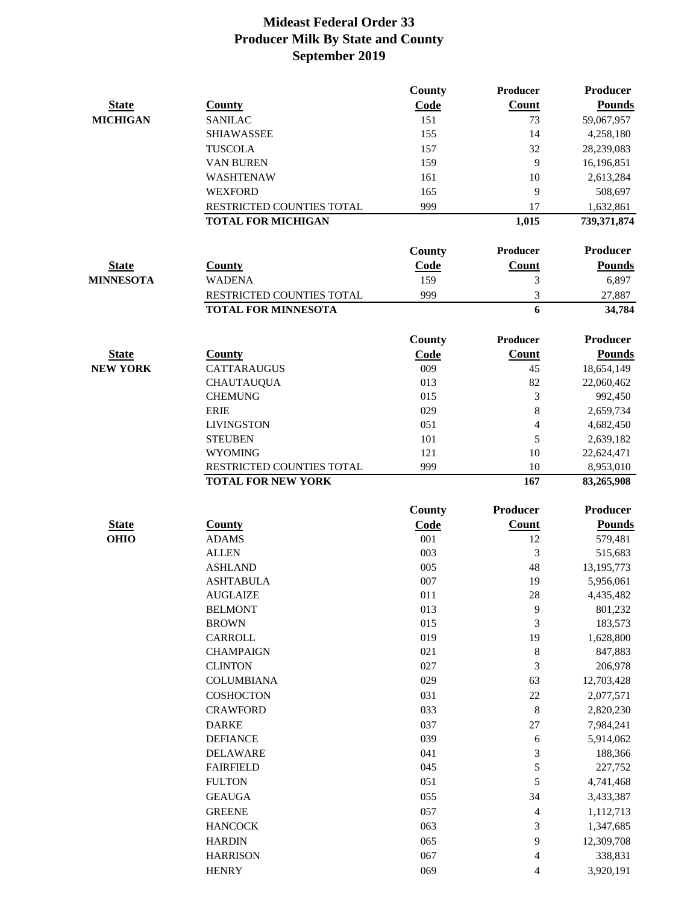|                  |                            | County        | Producer                 | <b>Producer</b> |
|------------------|----------------------------|---------------|--------------------------|-----------------|
| <b>State</b>     | <b>County</b>              | Code          | Count                    | <b>Pounds</b>   |
| <b>MICHIGAN</b>  | <b>SANILAC</b>             | 151           | 73                       | 59,067,957      |
|                  | <b>SHIAWASSEE</b>          | 155           | 14                       | 4,258,180       |
|                  | <b>TUSCOLA</b>             | 157           | 32                       | 28,239,083      |
|                  | <b>VAN BUREN</b>           | 159           | 9                        | 16,196,851      |
|                  | WASHTENAW                  | 161           | 10                       | 2,613,284       |
|                  | <b>WEXFORD</b>             | 165           | 9                        | 508,697         |
|                  | RESTRICTED COUNTIES TOTAL  | 999           | 17                       | 1,632,861       |
|                  | <b>TOTAL FOR MICHIGAN</b>  |               | 1,015                    | 739,371,874     |
|                  |                            | <b>County</b> | Producer                 | <b>Producer</b> |
| <b>State</b>     | <b>County</b>              | Code          | Count                    | <b>Pounds</b>   |
| <b>MINNESOTA</b> | <b>WADENA</b>              | 159           | 3                        | 6,897           |
|                  | RESTRICTED COUNTIES TOTAL  | 999           | 3                        | 27,887          |
|                  | <b>TOTAL FOR MINNESOTA</b> |               | 6                        | 34,784          |
|                  |                            | <b>County</b> | Producer                 | <b>Producer</b> |
| <b>State</b>     | <b>County</b>              | Code          | Count                    | <b>Pounds</b>   |
| <b>NEW YORK</b>  | CATTARAUGUS                | 009           | 45                       | 18,654,149      |
|                  | <b>CHAUTAUQUA</b>          | 013           | 82                       | 22,060,462      |
|                  | <b>CHEMUNG</b>             | 015           | 3                        | 992,450         |
|                  | <b>ERIE</b>                | 029           | 8                        | 2,659,734       |
|                  | <b>LIVINGSTON</b>          | 051           | 4                        | 4,682,450       |
|                  | <b>STEUBEN</b>             | 101           | 5                        | 2,639,182       |
|                  | <b>WYOMING</b>             | 121           | 10                       | 22,624,471      |
|                  | RESTRICTED COUNTIES TOTAL  | 999           | 10                       | 8,953,010       |
|                  | <b>TOTAL FOR NEW YORK</b>  |               | 167                      | 83,265,908      |
|                  |                            | <b>County</b> | Producer                 | Producer        |
| <b>State</b>     | <b>County</b>              | Code          | <b>Count</b>             | <b>Pounds</b>   |
| <b>OHIO</b>      | <b>ADAMS</b>               | 001           | 12                       | 579,481         |
|                  | <b>ALLEN</b>               | 003           | 3                        | 515,683         |
|                  | <b>ASHLAND</b>             | 005           | 48                       | 13, 195, 773    |
|                  | <b>ASHTABULA</b>           | 007           | 19                       | 5,956,061       |
|                  | <b>AUGLAIZE</b>            | 011           | 28                       | 4,435,482       |
|                  | <b>BELMONT</b>             | 013           | 9                        | 801,232         |
|                  | <b>BROWN</b>               | 015           | 3                        | 183,573         |
|                  | CARROLL                    | 019           | 19                       | 1,628,800       |
|                  | <b>CHAMPAIGN</b>           | 021           | 8                        | 847,883         |
|                  | <b>CLINTON</b>             | 027           | 3                        | 206,978         |
|                  | <b>COLUMBIANA</b>          | 029           | 63                       | 12,703,428      |
|                  | <b>COSHOCTON</b>           | 031           | $22\,$                   | 2,077,571       |
|                  | <b>CRAWFORD</b>            | 033           | 8                        | 2,820,230       |
|                  | <b>DARKE</b>               | 037           | $27\,$                   | 7,984,241       |
|                  | <b>DEFIANCE</b>            | 039           | 6                        | 5,914,062       |
|                  | <b>DELAWARE</b>            | 041           | 3                        | 188,366         |
|                  | <b>FAIRFIELD</b>           | 045           | 5                        | 227,752         |
|                  | <b>FULTON</b>              | 051           | 5                        | 4,741,468       |
|                  | <b>GEAUGA</b>              | 055           | 34                       | 3,433,387       |
|                  |                            |               |                          |                 |
|                  | <b>GREENE</b>              | 057           | 4                        | 1,112,713       |
|                  | <b>HANCOCK</b>             | 063           | 3                        | 1,347,685       |
|                  | <b>HARDIN</b>              | 065           | 9                        | 12,309,708      |
|                  | <b>HARRISON</b>            | 067           | $\overline{\mathcal{L}}$ | 338,831         |
|                  | <b>HENRY</b>               | 069           | 4                        | 3,920,191       |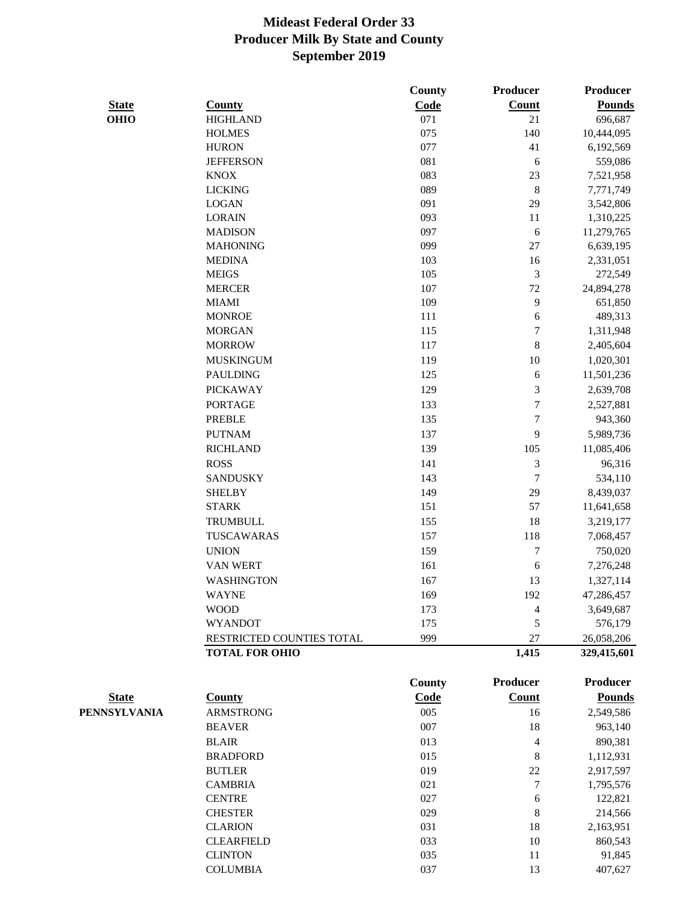|              |                           | <b>County</b> | Producer                 | Producer        |
|--------------|---------------------------|---------------|--------------------------|-----------------|
| <b>State</b> | <b>County</b>             | Code          | Count                    | <b>Pounds</b>   |
| <b>OHIO</b>  | <b>HIGHLAND</b>           | 071           | 21                       | 696,687         |
|              | <b>HOLMES</b>             | 075           | 140                      | 10,444,095      |
|              | <b>HURON</b>              | 077           | 41                       | 6,192,569       |
|              | <b>JEFFERSON</b>          | 081           | $\sqrt{6}$               | 559,086         |
|              | <b>KNOX</b>               | 083           | 23                       | 7,521,958       |
|              | <b>LICKING</b>            | 089           | $\,$ $\,$                | 7,771,749       |
|              | <b>LOGAN</b>              | 091           | 29                       | 3,542,806       |
|              | <b>LORAIN</b>             | 093           | 11                       | 1,310,225       |
|              | <b>MADISON</b>            | 097           | 6                        | 11,279,765      |
|              | <b>MAHONING</b>           | 099           | $27\,$                   | 6,639,195       |
|              | <b>MEDINA</b>             | 103           | 16                       | 2,331,051       |
|              | <b>MEIGS</b>              | 105           | 3                        | 272,549         |
|              | <b>MERCER</b>             | 107           | 72                       | 24,894,278      |
|              | <b>MIAMI</b>              | 109           | 9                        | 651,850         |
|              | <b>MONROE</b>             | 111           | $\boldsymbol{6}$         | 489,313         |
|              | <b>MORGAN</b>             | 115           | $\boldsymbol{7}$         | 1,311,948       |
|              | <b>MORROW</b>             | 117           | 8                        | 2,405,604       |
|              | <b>MUSKINGUM</b>          | 119           | $10\,$                   | 1,020,301       |
|              | <b>PAULDING</b>           | 125           | 6                        | 11,501,236      |
|              | <b>PICKAWAY</b>           | 129           | 3                        | 2,639,708       |
|              | <b>PORTAGE</b>            | 133           | $\overline{7}$           | 2,527,881       |
|              | <b>PREBLE</b>             | 135           | 7                        | 943,360         |
|              | <b>PUTNAM</b>             | 137           | 9                        | 5,989,736       |
|              | <b>RICHLAND</b>           | 139           | 105                      | 11,085,406      |
|              | <b>ROSS</b>               | 141           | 3                        | 96,316          |
|              | <b>SANDUSKY</b>           | 143           | $\tau$                   | 534,110         |
|              | <b>SHELBY</b>             | 149           | 29                       | 8,439,037       |
|              | <b>STARK</b>              | 151           | 57                       | 11,641,658      |
|              | <b>TRUMBULL</b>           | 155           | 18                       | 3,219,177       |
|              | TUSCAWARAS                | 157           | 118                      | 7,068,457       |
|              | <b>UNION</b>              | 159           | 7                        | 750,020         |
|              | <b>VAN WERT</b>           | 161           | $\epsilon$               | 7,276,248       |
|              | <b>WASHINGTON</b>         | 167           | 13                       | 1,327,114       |
|              | WAYNE                     | 169           | 192                      | 47,286,457      |
|              | <b>WOOD</b>               | 173           | 4                        | 3,649,687       |
|              | <b>WYANDOT</b>            | 175           | 5                        | 576,179         |
|              | RESTRICTED COUNTIES TOTAL | 999           | $27\,$                   | 26,058,206      |
|              | <b>TOTAL FOR OHIO</b>     |               | 1,415                    | 329,415,601     |
|              |                           | County        | <b>Producer</b>          | <b>Producer</b> |
| <b>State</b> | <b>County</b>             | Code          | <b>Count</b>             | <b>Pounds</b>   |
| PENNSYLVANIA | <b>ARMSTRONG</b>          | 005           | 16                       | 2,549,586       |
|              | <b>BEAVER</b>             | 007           | 18                       | 963,140         |
|              | <b>BLAIR</b>              | 013           | $\overline{\mathcal{L}}$ | 890,381         |
|              | <b>BRADFORD</b>           | 015           | $\,8$                    | 1,112,931       |
|              | <b>BUTLER</b>             | 019           | $22\,$                   | 2,917,597       |
|              | <b>CAMBRIA</b>            | 021           | $\tau$                   | 1,795,576       |
|              | <b>CENTRE</b>             | 027           | 6                        | 122,821         |
|              | <b>CHESTER</b>            | 029           | $\,8\,$                  | 214,566         |
|              | <b>CLARION</b>            | 031           | 18                       | 2,163,951       |
|              | <b>CLEARFIELD</b>         | 033           | 10                       | 860,543         |
|              | <b>CLINTON</b>            | 035           | 11                       | 91,845          |
|              | <b>COLUMBIA</b>           | 037           | 13                       | 407,627         |